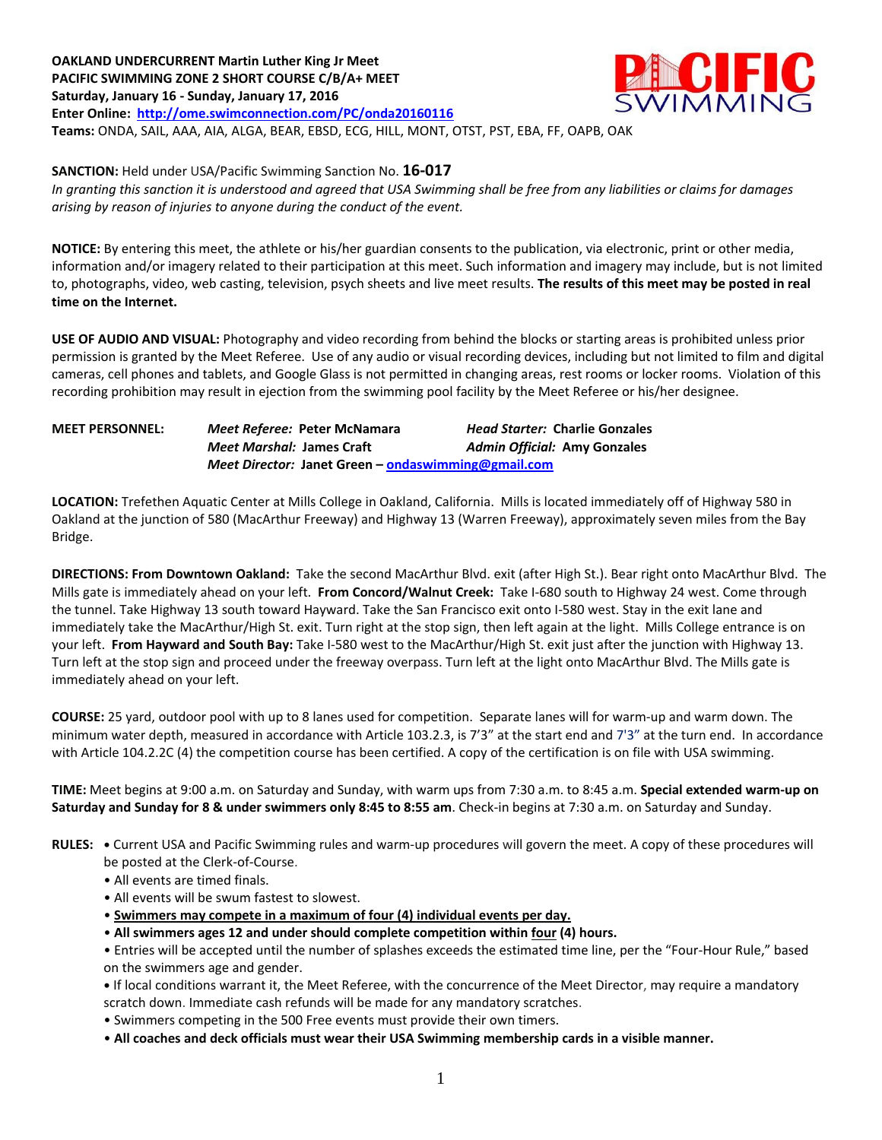**OAKLAND UNDERCURRENT Martin Luther King Jr Meet PACIFIC SWIMMING ZONE 2 SHORT COURSE C/B/A+ MEET Saturday, January 16 - Sunday, January 17, 2016 Enter Online: <http://ome.swimconnection.com/PC/onda20160116> Teams:** ONDA, SAIL, AAA, AIA, ALGA, BEAR, EBSD, ECG, HILL, MONT, OTST, PST, EBA, FF, OAPB, OAK



**SANCTION:** Held under USA/Pacific Swimming Sanction No. **16-017** *In granting this sanction it is understood and agreed that USA Swimming shall be free from any liabilities or claims for damages arising by reason of injuries to anyone during the conduct of the event.*

**NOTICE:** By entering this meet, the athlete or his/her guardian consents to the publication, via electronic, print or other media, information and/or imagery related to their participation at this meet. Such information and imagery may include, but is not limited to, photographs, video, web casting, television, psych sheets and live meet results. **The results of this meet may be posted in real time on the Internet.**

**USE OF AUDIO AND VISUAL:** Photography and video recording from behind the blocks or starting areas is prohibited unless prior permission is granted by the Meet Referee. Use of any audio or visual recording devices, including but not limited to film and digital cameras, cell phones and tablets, and Google Glass is not permitted in changing areas, rest rooms or locker rooms. Violation of this recording prohibition may result in ejection from the swimming pool facility by the Meet Referee or his/her designee.

**MEET PERSONNEL:** *Meet Referee:* **Peter McNamara** *Head Starter:* **Charlie Gonzales** *Meet Marshal:* **James Craft** *Admin Official:* **Amy Gonzales** *Meet Director:* **Janet Green – [ondaswimming@gmail.com](mailto:ondaswimming@gmail.com)**

**LOCATION:** Trefethen Aquatic Center at Mills College in Oakland, California. Mills is located immediately off of Highway 580 in Oakland at the junction of 580 (MacArthur Freeway) and Highway 13 (Warren Freeway), approximately seven miles from the Bay Bridge.

**DIRECTIONS: From Downtown Oakland:** Take the second MacArthur Blvd. exit (after High St.). Bear right onto MacArthur Blvd. The Mills gate is immediately ahead on your left. **From Concord/Walnut Creek:** Take I-680 south to Highway 24 west. Come through the tunnel. Take Highway 13 south toward Hayward. Take the San Francisco exit onto I-580 west. Stay in the exit lane and immediately take the MacArthur/High St. exit. Turn right at the stop sign, then left again at the light. Mills College entrance is on your left. **From Hayward and South Bay:** Take I-580 west to the MacArthur/High St. exit just after the junction with Highway 13. Turn left at the stop sign and proceed under the freeway overpass. Turn left at the light onto MacArthur Blvd. The Mills gate is immediately ahead on your left.

**COURSE:** 25 yard, outdoor pool with up to 8 lanes used for competition. Separate lanes will for warm-up and warm down. The minimum water depth, measured in accordance with Article 103.2.3, is 7'3" at the start end and 7'3" at the turn end. In accordance with Article 104.2.2C (4) the competition course has been certified. A copy of the certification is on file with USA swimming.

**TIME:** Meet begins at 9:00 a.m. on Saturday and Sunday, with warm ups from 7:30 a.m. to 8:45 a.m. **Special extended warm-up on Saturday and Sunday for 8 & under swimmers only 8:45 to 8:55 am**. Check-in begins at 7:30 a.m. on Saturday and Sunday.

**RULES: •** Current USA and Pacific Swimming rules and warm-up procedures will govern the meet. A copy of these procedures will be posted at the Clerk-of-Course.

- All events are timed finals.
- All events will be swum fastest to slowest.
- **Swimmers may compete in a maximum of four (4) individual events per day.**
- **All swimmers ages 12 and under should complete competition within four (4) hours.**
- Entries will be accepted until the number of splashes exceeds the estimated time line, per the "Four-Hour Rule," based on the swimmers age and gender.
- **•** If local conditions warrant it, the Meet Referee, with the concurrence of the Meet Director, may require a mandatory scratch down. Immediate cash refunds will be made for any mandatory scratches.
- Swimmers competing in the 500 Free events must provide their own timers.
- **All coaches and deck officials must wear their USA Swimming membership cards in a visible manner.**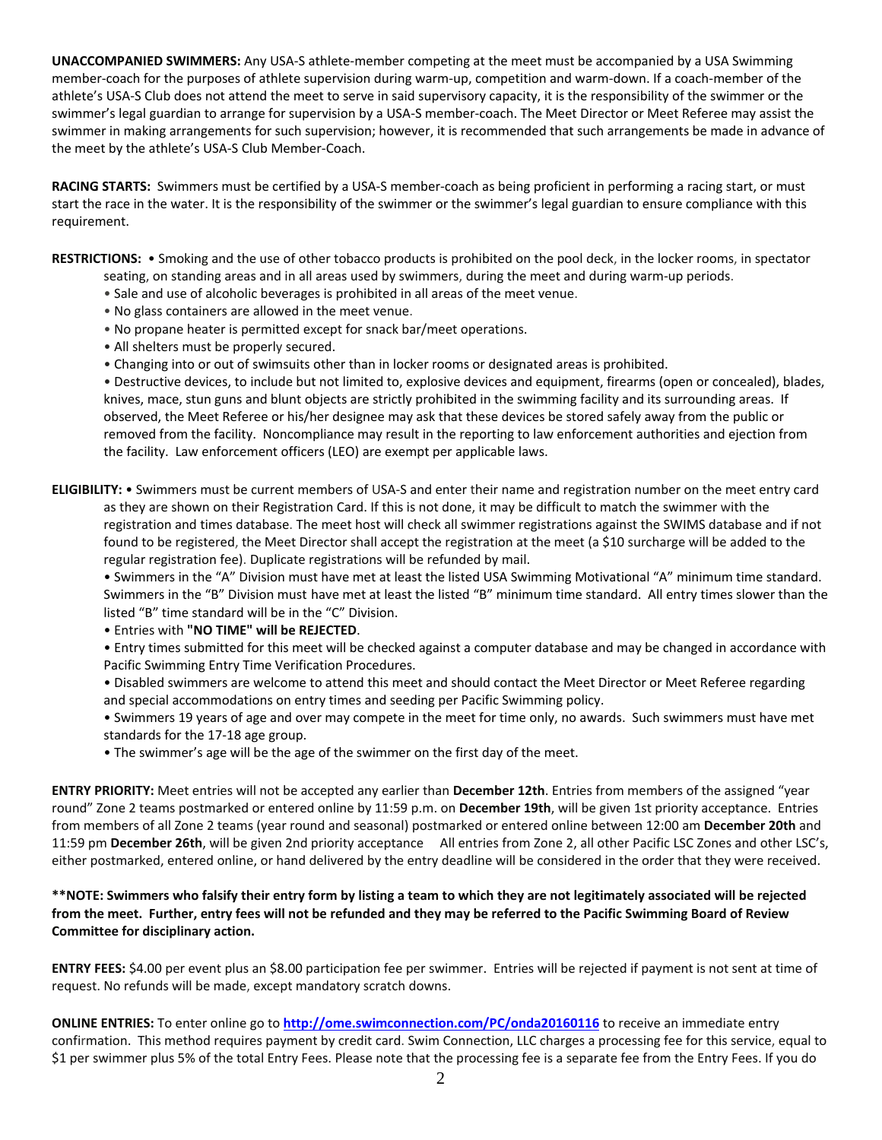**UNACCOMPANIED SWIMMERS:** Any USA-S athlete-member competing at the meet must be accompanied by a USA Swimming member-coach for the purposes of athlete supervision during warm-up, competition and warm-down. If a coach-member of the athlete's USA-S Club does not attend the meet to serve in said supervisory capacity, it is the responsibility of the swimmer or the swimmer's legal guardian to arrange for supervision by a USA-S member-coach. The Meet Director or Meet Referee may assist the swimmer in making arrangements for such supervision; however, it is recommended that such arrangements be made in advance of the meet by the athlete's USA-S Club Member-Coach.

**RACING STARTS:** Swimmers must be certified by a USA-S member-coach as being proficient in performing a racing start, or must start the race in the water. It is the responsibility of the swimmer or the swimmer's legal guardian to ensure compliance with this requirement.

**RESTRICTIONS:** • Smoking and the use of other tobacco products is prohibited on the pool deck, in the locker rooms, in spectator

- seating, on standing areas and in all areas used by swimmers, during the meet and during warm-up periods.
	- Sale and use of alcoholic beverages is prohibited in all areas of the meet venue.
	- No glass containers are allowed in the meet venue.
	- No propane heater is permitted except for snack bar/meet operations.
	- All shelters must be properly secured.
	- Changing into or out of swimsuits other than in locker rooms or designated areas is prohibited.

• Destructive devices, to include but not limited to, explosive devices and equipment, firearms (open or concealed), blades, knives, mace, stun guns and blunt objects are strictly prohibited in the swimming facility and its surrounding areas. If observed, the Meet Referee or his/her designee may ask that these devices be stored safely away from the public or removed from the facility. Noncompliance may result in the reporting to law enforcement authorities and ejection from the facility. Law enforcement officers (LEO) are exempt per applicable laws.

**ELIGIBILITY:** • Swimmers must be current members of USA-S and enter their name and registration number on the meet entry card as they are shown on their Registration Card. If this is not done, it may be difficult to match the swimmer with the registration and times database. The meet host will check all swimmer registrations against the SWIMS database and if not found to be registered, the Meet Director shall accept the registration at the meet (a \$10 surcharge will be added to the regular registration fee). Duplicate registrations will be refunded by mail.

• Swimmers in the "A" Division must have met at least the listed USA Swimming Motivational "A" minimum time standard. Swimmers in the "B" Division must have met at least the listed "B" minimum time standard. All entry times slower than the listed "B" time standard will be in the "C" Division.

• Entries with **"NO TIME" will be REJECTED**.

• Entry times submitted for this meet will be checked against a computer database and may be changed in accordance with Pacific Swimming Entry Time Verification Procedures.

• Disabled swimmers are welcome to attend this meet and should contact the Meet Director or Meet Referee regarding and special accommodations on entry times and seeding per Pacific Swimming policy.

• Swimmers 19 years of age and over may compete in the meet for time only, no awards. Such swimmers must have met standards for the 17-18 age group.

• The swimmer's age will be the age of the swimmer on the first day of the meet.

**ENTRY PRIORITY:** Meet entries will not be accepted any earlier than **December 12th**. Entries from members of the assigned "year round" Zone 2 teams postmarked or entered online by 11:59 p.m. on **December 19th**, will be given 1st priority acceptance. Entries from members of all Zone 2 teams (year round and seasonal) postmarked or entered online between 12:00 am **December 20th** and 11:59 pm **December 26th**, will be given 2nd priority acceptance All entries from Zone 2, all other Pacific LSC Zones and other LSC's, either postmarked, entered online, or hand delivered by the entry deadline will be considered in the order that they were received.

**\*\*NOTE: Swimmers who falsify their entry form by listing a team to which they are not legitimately associated will be rejected from the meet. Further, entry fees will not be refunded and they may be referred to the Pacific Swimming Board of Review Committee for disciplinary action.**

**ENTRY FEES:** \$4.00 per event plus an \$8.00 participation fee per swimmer. Entries will be rejected if payment is not sent at time of request. No refunds will be made, except mandatory scratch downs.

**ONLINE ENTRIES:** To enter online go to **<http://ome.swimconnection.com/PC/onda20160116>** to receive an immediate entry confirmation. This method requires payment by credit card. Swim Connection, LLC charges a processing fee for this service, equal to \$1 per swimmer plus 5% of the total Entry Fees. Please note that the processing fee is a separate fee from the Entry Fees. If you do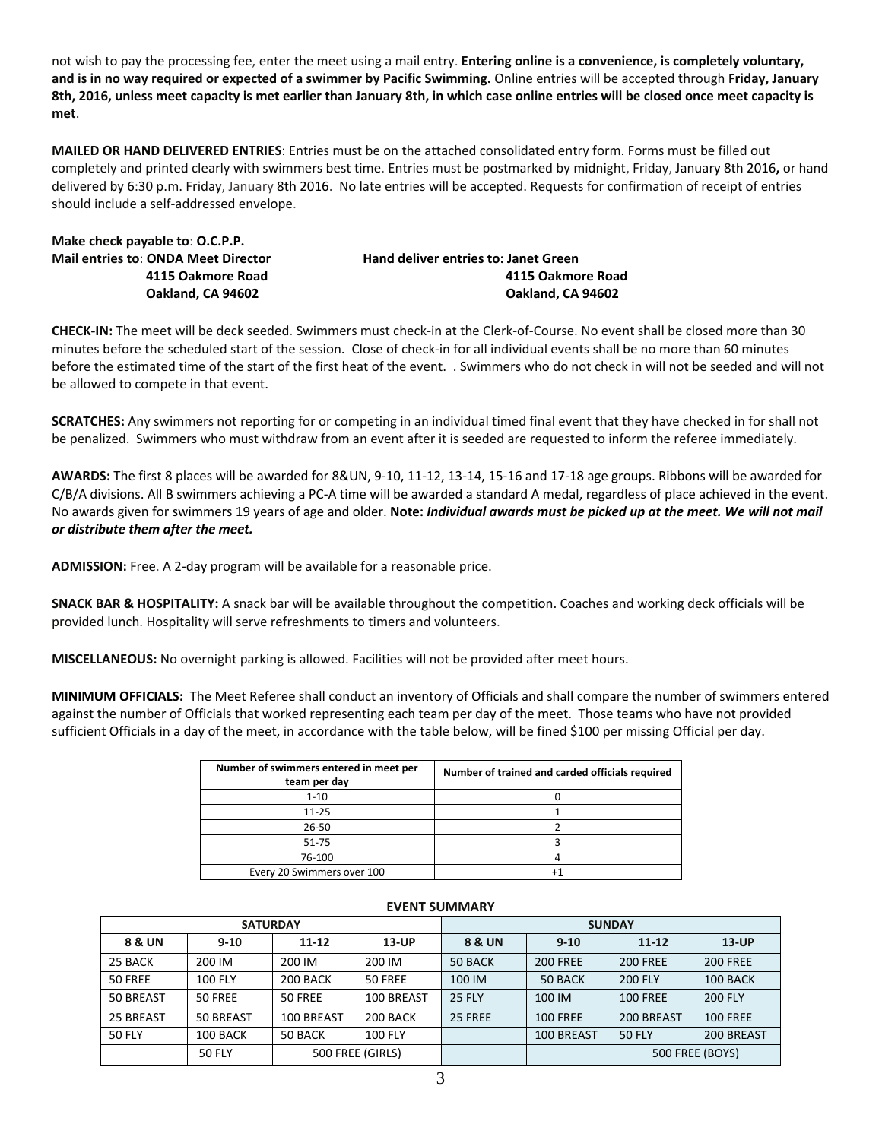not wish to pay the processing fee, enter the meet using a mail entry. **Entering online is a convenience, is completely voluntary, and is in no way required or expected of a swimmer by Pacific Swimming.** Online entries will be accepted through **Friday, January 8th, 2016, unless meet capacity is met earlier than January 8th, in which case online entries will be closed once meet capacity is met**.

**MAILED OR HAND DELIVERED ENTRIES**: Entries must be on the attached consolidated entry form. Forms must be filled out completely and printed clearly with swimmers best time. Entries must be postmarked by midnight, Friday, January 8th 2016**,** or hand delivered by 6:30 p.m. Friday, January 8th 2016. No late entries will be accepted. Requests for confirmation of receipt of entries should include a self-addressed envelope.

| Make check payable to: O.C.P.P.            |
|--------------------------------------------|
| <b>Mail entries to: ONDA Meet Director</b> |
| 4115 Oakmore Road                          |
| Oakland, CA 94602                          |

**Hand deliver entries to: Janet Green 4115 Oakmore Road 4115 Oakmore Road Oakland, CA 94602** 

**CHECK-IN:** The meet will be deck seeded. Swimmers must check-in at the Clerk-of-Course. No event shall be closed more than 30 minutes before the scheduled start of the session. Close of check-in for all individual events shall be no more than 60 minutes before the estimated time of the start of the first heat of the event. . Swimmers who do not check in will not be seeded and will not be allowed to compete in that event.

**SCRATCHES:** Any swimmers not reporting for or competing in an individual timed final event that they have checked in for shall not be penalized. Swimmers who must withdraw from an event after it is seeded are requested to inform the referee immediately.

**AWARDS:** The first 8 places will be awarded for 8&UN, 9-10, 11-12, 13-14, 15-16 and 17-18 age groups. Ribbons will be awarded for C/B/A divisions. All B swimmers achieving a PC-A time will be awarded a standard A medal, regardless of place achieved in the event. No awards given for swimmers 19 years of age and older. **Note:** *Individual awards must be picked up at the meet. We will not mail or distribute them after the meet.*

**ADMISSION:** Free. A 2-day program will be available for a reasonable price.

**SNACK BAR & HOSPITALITY:** A snack bar will be available throughout the competition. Coaches and working deck officials will be provided lunch. Hospitality will serve refreshments to timers and volunteers.

**MISCELLANEOUS:** No overnight parking is allowed. Facilities will not be provided after meet hours.

**MINIMUM OFFICIALS:** The Meet Referee shall conduct an inventory of Officials and shall compare the number of swimmers entered against the number of Officials that worked representing each team per day of the meet. Those teams who have not provided sufficient Officials in a day of the meet, in accordance with the table below, will be fined \$100 per missing Official per day.

| Number of swimmers entered in meet per<br>team per day | Number of trained and carded officials required |
|--------------------------------------------------------|-------------------------------------------------|
| $1 - 10$                                               |                                                 |
| $11 - 25$                                              |                                                 |
| 26-50                                                  |                                                 |
| $51 - 75$                                              |                                                 |
| 76-100                                                 |                                                 |
| Every 20 Swimmers over 100                             |                                                 |

|               | <b>SATURDAY</b> |                  |                | <b>SUNDAY</b> |                 |                 |                 |  |  |
|---------------|-----------------|------------------|----------------|---------------|-----------------|-----------------|-----------------|--|--|
| 8 & UN        | $9 - 10$        | $11 - 12$        | $13$ -UP       | 8 & UN        | $9 - 10$        |                 | $13$ -UP        |  |  |
| 25 BACK       | 200 IM          | 200 IM           | 200 IM         | 50 BACK       | <b>200 FREE</b> | <b>200 FREE</b> | <b>200 FREE</b> |  |  |
| 50 FREE       | <b>100 FLY</b>  | 200 BACK         | 50 FREE        | 100 IM        | 50 BACK         | 200 FLY         | 100 BACK        |  |  |
| 50 BREAST     | 50 FREE         | <b>50 FREE</b>   | 100 BREAST     | <b>25 FLY</b> | 100 IM          | <b>100 FREE</b> | <b>200 FLY</b>  |  |  |
| 25 BREAST     | 50 BREAST       | 100 BREAST       | 200 BACK       | 25 FREE       | <b>100 FREE</b> | 200 BREAST      | <b>100 FREE</b> |  |  |
| <b>50 FLY</b> | 100 BACK        | 50 BACK          | <b>100 FLY</b> |               | 100 BREAST      | <b>50 FLY</b>   | 200 BREAST      |  |  |
|               | <b>50 FLY</b>   | 500 FREE (GIRLS) |                |               |                 | 500 FREE (BOYS) |                 |  |  |

## **EVENT SUMMARY**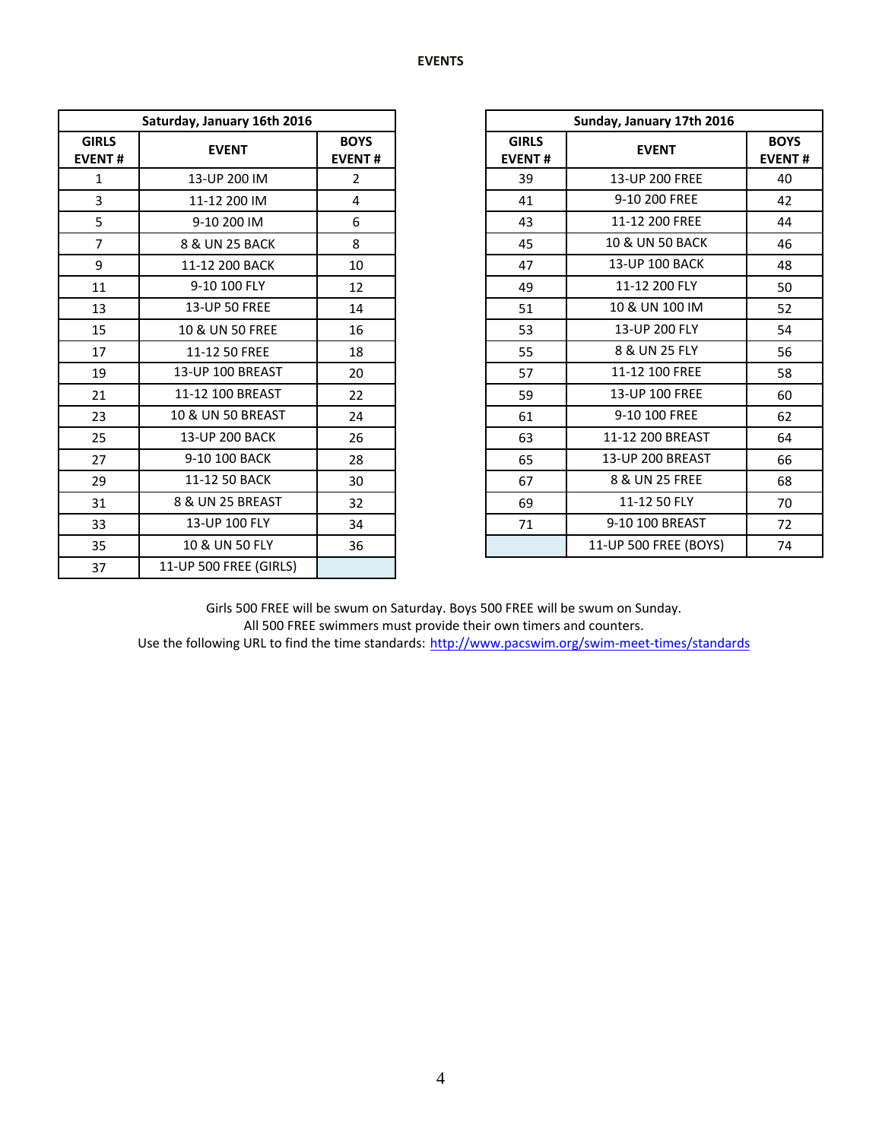|                               | Saturday, January 16th 2016 |                              |  |                               | Sunday, January 17th 2016  |  |  |
|-------------------------------|-----------------------------|------------------------------|--|-------------------------------|----------------------------|--|--|
| <b>GIRLS</b><br><b>EVENT#</b> | <b>EVENT</b>                | <b>BOYS</b><br><b>EVENT#</b> |  | <b>GIRLS</b><br><b>EVENT#</b> | <b>EVENT</b>               |  |  |
| $\mathbf{1}$                  | 13-UP 200 IM                | $\overline{2}$               |  | 39                            | 13-UP 200 FREE             |  |  |
| 3                             | 11-12 200 IM                | 4                            |  | 41                            | 9-10 200 FREE              |  |  |
| 5                             | 9-10 200 IM                 | 6                            |  | 43                            | 11-12 200 FREE             |  |  |
| $\overline{7}$                | 8 & UN 25 BACK              | 8                            |  | 45                            | <b>10 &amp; UN 50 BACK</b> |  |  |
| 9                             | 11-12 200 BACK              | 10                           |  | 47                            | 13-UP 100 BACK             |  |  |
| 11                            | 9-10 100 FLY                | 12                           |  | 49                            | 11-12 200 FLY              |  |  |
| 13                            | 13-UP 50 FREE               | 14                           |  | 51                            | 10 & UN 100 IM             |  |  |
| 15                            | 10 & UN 50 FREE             | 16                           |  | 53                            | 13-UP 200 FLY              |  |  |
| 17                            | 11-12 50 FREE               | 18                           |  | 55                            | 8 & UN 25 FLY              |  |  |
| 19                            | 13-UP 100 BREAST            | 20                           |  | 57                            | 11-12 100 FREE             |  |  |
| 21                            | 11-12 100 BREAST            | 22                           |  | 59                            | 13-UP 100 FREE             |  |  |
| 23                            | 10 & UN 50 BREAST           | 24                           |  | 61                            | 9-10 100 FREE              |  |  |
| 25                            | <b>13-UP 200 BACK</b>       | 26                           |  | 63                            | 11-12 200 BREAST           |  |  |
| 27                            | 9-10 100 BACK               | 28                           |  | 65                            | <b>13-UP 200 BREAST</b>    |  |  |
| 29                            | 11-12 50 BACK               | 30                           |  | 67                            | 8 & UN 25 FREE             |  |  |
| 31                            | 8 & UN 25 BREAST            | 32                           |  | 69                            | 11-12 50 FLY               |  |  |
| 33                            | 13-UP 100 FLY               | 34                           |  | 71                            | 9-10 100 BREAST            |  |  |
| 35                            | 10 & UN 50 FLY              | 36                           |  |                               | 11-UP 500 FREE (BOYS)      |  |  |
| 37                            | 11-UP 500 FREE (GIRLS)      |                              |  |                               |                            |  |  |

| Saturday, January 16th 2016 |                   |                              |                               | Sunday, January 17th 2016 |    |  |  |
|-----------------------------|-------------------|------------------------------|-------------------------------|---------------------------|----|--|--|
| IRLS<br>ENT#                | <b>EVENT</b>      | <b>BOYS</b><br><b>EVENT#</b> | <b>GIRLS</b><br><b>EVENT#</b> | <b>EVENT</b>              |    |  |  |
| $\mathbf{1}$                | 13-UP 200 IM      | $\overline{2}$               | 39                            | 13-UP 200 FREE            | 40 |  |  |
| $\mathbf{3}$                | 11-12 200 IM      | 4                            | 41                            | 9-10 200 FREE             | 42 |  |  |
| 5                           | 9-10 200 IM       | 6                            | 43                            | 11-12 200 FREE            | 44 |  |  |
| $\overline{7}$              | 8 & UN 25 BACK    | 8                            | 45                            | 10 & UN 50 BACK           | 46 |  |  |
| $\overline{9}$              | 11-12 200 BACK    | 10                           | 47                            | 13-UP 100 BACK            | 48 |  |  |
| 11                          | 9-10 100 FLY      | 12                           | 49                            | 11-12 200 FLY             | 50 |  |  |
| 13                          | 13-UP 50 FREE     | 14                           | 51                            | 10 & UN 100 IM            | 52 |  |  |
| 15                          | 10 & UN 50 FREE   | 16                           | 53                            | 13-UP 200 FLY             | 54 |  |  |
| 17                          | 11-12 50 FREE     | 18                           | 55                            | 8 & UN 25 FLY             | 56 |  |  |
| 19                          | 13-UP 100 BREAST  | 20                           | 57                            | 11-12 100 FREE            | 58 |  |  |
| 21                          | 11-12 100 BREAST  | 22                           | 59                            | 13-UP 100 FREE            | 60 |  |  |
| 23                          | 10 & UN 50 BREAST | 24                           | 61                            | 9-10 100 FREE             | 62 |  |  |
| 25                          | 13-UP 200 BACK    | 26                           | 63                            | 11-12 200 BREAST          | 64 |  |  |
| 27                          | 9-10 100 BACK     | 28                           | 65                            | 13-UP 200 BREAST          | 66 |  |  |
| 29                          | 11-12 50 BACK     | 30                           | 67                            | 8 & UN 25 FREE            | 68 |  |  |
| 31                          | 8 & UN 25 BREAST  | 32                           | 69                            | 11-12 50 FLY              | 70 |  |  |
| 33                          | 13-UP 100 FLY     | 34                           | 71                            | 9-10 100 BREAST           | 72 |  |  |
| 35                          | 10 & UN 50 FLY    | 36                           |                               | 11-UP 500 FREE (BOYS)     | 74 |  |  |

Girls 500 FREE will be swum on Saturday. Boys 500 FREE will be swum on Sunday. All 500 FREE swimmers must provide their own timers and counters. Use the following URL to find the time standards: <http://www.pacswim.org/swim-meet-times/standards>